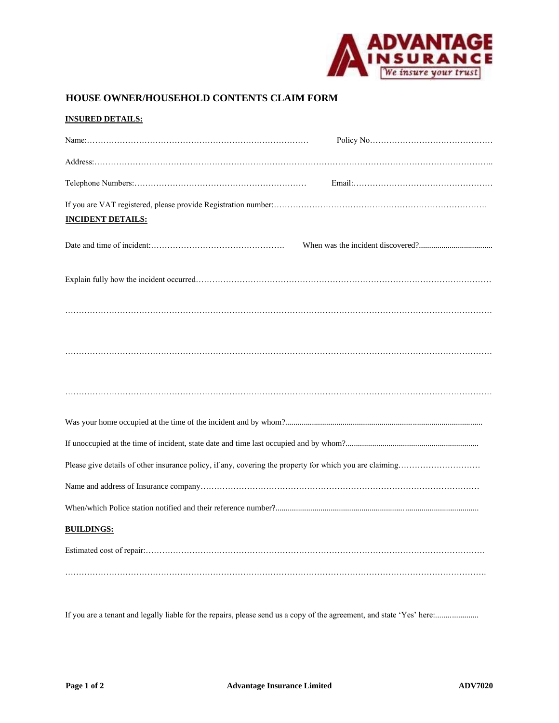

## **HOUSE OWNER/HOUSEHOLD CONTENTS CLAIM FORM**

| <b>INSURED DETAILS:</b>  |
|--------------------------|
|                          |
|                          |
|                          |
|                          |
| <b>INCIDENT DETAILS:</b> |
|                          |
|                          |
|                          |
|                          |
|                          |
|                          |
|                          |
|                          |
|                          |
|                          |
|                          |
| <b>BUILDINGS:</b>        |
|                          |
|                          |

If you are a tenant and legally liable for the repairs, please send us a copy of the agreement, and state 'Yes' here:.....................